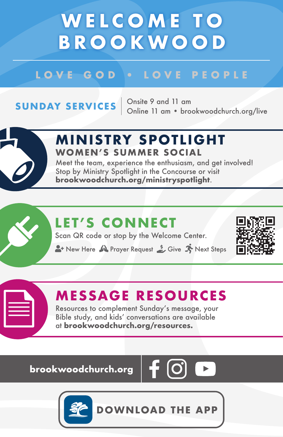## **WELCOME TO BROOKWOOD**

#### LOVE GOD . LOVE PEOPLE

**SUNDAY SERVICES**  $\begin{array}{r}$  Onsite 9 and 11 am<br>Online 11 am • brookwoodchurch.org/live



#### **M IN ISTRY SPOTL IGHT WOMEN'S SUMMER SOCIAL**

Meet the team, experience the enthusiasm, and get involved! Stop by Ministry Spotlight in the Concourse or visit **brookwoodchurch.org/ministryspotlight**.

### **LET'S CONNECT**

Scan QR code or stop by the Welcome Center.

A New Here M Prayer Request Street Steps



### **MESSAGE RESOURCES**

Resources to complement Sunday's message, your Bible study, and kids' conversations are available at **brookwoodchurch.org/resources.**

**brookwoodchurch.org** 



**DOWNLOAD THE APP**